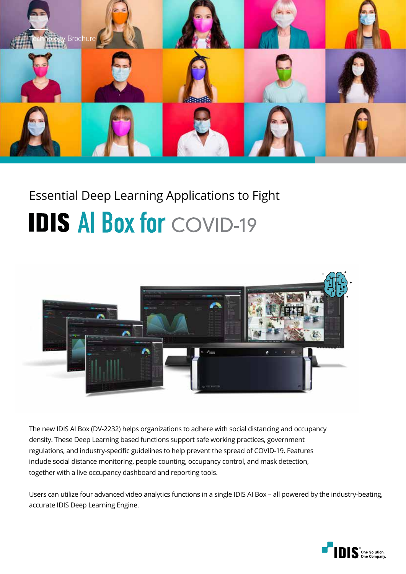

# Essential Deep Learning Applications to Fight **IDIS AI Box for COVID-19**



The new IDIS AI Box (DV-2232) helps organizations to adhere with social distancing and occupancy density. These Deep Learning based functions support safe working practices, government regulations, and industry-specific guidelines to help prevent the spread of COVID-19. Features include social distance monitoring, people counting, occupancy control, and mask detection, together with a live occupancy dashboard and reporting tools.

Users can utilize four advanced video analytics functions in a single IDIS AI Box – all powered by the industry-beating, accurate IDIS Deep Learning Engine.

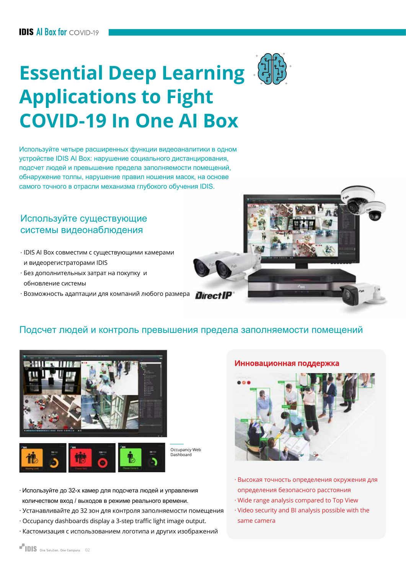# **Essential Deep Learning Applications to Fight COVID-19 In One AI Box**

Используйте четыре расширенных функции видеоаналитики в одном устройстве IDIS AI Box: нарушение социального дистанцирования, подсчет людей и превышение предела заполняемости помещений, обнаружение толпы, нарушение правил ношения масок, на основе самого точного в отрасли механизма глубокого обучения IDIS.

#### Используйте существующие системы видеонаблюдения

- · IDIS AI Box совместим с существующими камерами и видеорегистраторами IDIS
- · Без дополнительных затрат на покупку и обновление системы
- $\cdot$  Возможность адаптации для компаний любого размера  $\;$  Direct IP

### Подсчет людей и контроль превышения предела заполняемости помещений

Occupancy Web Dashboard





- · Используйте до 32-х камер для подсчета людей и управления количеством вход / выходов в режиме реального времени.
- · Устанавливайте до 32 зон для контроля заполняемости помещения
- · Occupancy dashboards display a 3-step traffic light image output.
- · Кастомизация с использованием логотипа и других изображений



- · Высокая точность определения окружения для определения безопасного расстояния
- · Wide range analysis compared to Top View
- · Video security and BI analysis possible with the same camera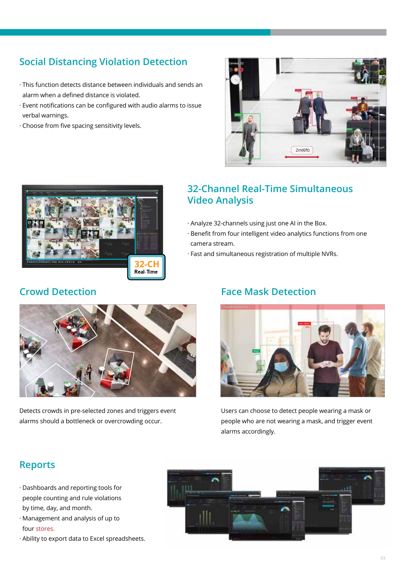## **Social Distancing Violation Detection**

- · This function detects distance between individuals and sends an alarm when a defined distance is violated.
- · Event notifications can be configured with audio alarms to issue verbal warnings.
- · Choose from five spacing sensitivity levels.





### **32-Channel Real-Time Simultaneous Video Analysis**

- · Analyze 32-channels using just one AI in the Box.
- · Benefit from four intelligent video analytics functions from one camera stream.
- · Fast and simultaneous registration of multiple NVRs.





Users can choose to detect people wearing a mask or people who are not wearing a mask, and trigger event alarms accordingly.



Detects crowds in pre-selected zones and triggers event alarms should a bottleneck or overcrowding occur.

## **Reports**

- · Dashboards and reporting tools for people counting and rule violations by time, day, and month.
- · Management and analysis of up to four stores.
- · Ability to export data to Excel spreadsheets.